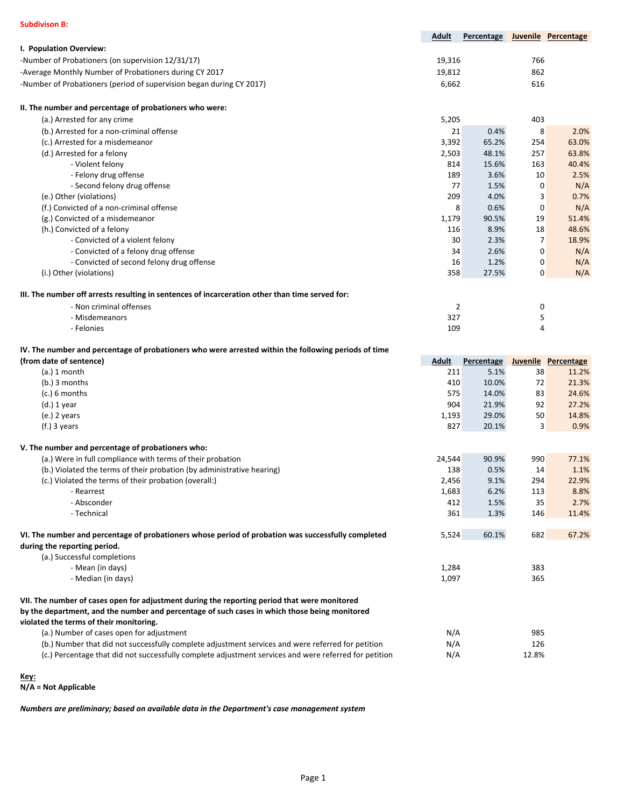| <b>Subdivison B:</b>                                                                                                                                                                          |                |                                |                   |                     |
|-----------------------------------------------------------------------------------------------------------------------------------------------------------------------------------------------|----------------|--------------------------------|-------------------|---------------------|
|                                                                                                                                                                                               | Adult          | Percentage Juvenile Percentage |                   |                     |
| I. Population Overview:                                                                                                                                                                       |                |                                |                   |                     |
| -Number of Probationers (on supervision 12/31/17)                                                                                                                                             | 19,316         |                                | 766               |                     |
| -Average Monthly Number of Probationers during CY 2017                                                                                                                                        | 19,812         |                                | 862               |                     |
| -Number of Probationers (period of supervision began during CY 2017)                                                                                                                          | 6,662          |                                | 616               |                     |
| II. The number and percentage of probationers who were:                                                                                                                                       |                |                                |                   |                     |
| (a.) Arrested for any crime                                                                                                                                                                   | 5,205          |                                | 403               |                     |
| (b.) Arrested for a non-criminal offense                                                                                                                                                      | 21             | 0.4%                           | 8                 | 2.0%                |
| (c.) Arrested for a misdemeanor                                                                                                                                                               | 3,392          | 65.2%                          | 254               | 63.0%               |
| (d.) Arrested for a felony                                                                                                                                                                    | 2,503          | 48.1%                          | 257               | 63.8%               |
| - Violent felony                                                                                                                                                                              | 814            | 15.6%                          | 163               | 40.4%               |
| - Felony drug offense                                                                                                                                                                         | 189            | 3.6%                           | 10                | 2.5%                |
| - Second felony drug offense                                                                                                                                                                  | 77             | 1.5%                           | $\mathbf 0$       | N/A                 |
| (e.) Other (violations)                                                                                                                                                                       | 209            | 4.0%                           | 3                 | 0.7%                |
| (f.) Convicted of a non-criminal offense                                                                                                                                                      | 8              | 0.6%                           | $\mathbf 0$       | N/A                 |
| (g.) Convicted of a misdemeanor                                                                                                                                                               | 1,179          | 90.5%                          | 19                | 51.4%               |
| (h.) Convicted of a felony                                                                                                                                                                    | 116            | 8.9%                           | 18                | 48.6%               |
| - Convicted of a violent felony                                                                                                                                                               | 30             | 2.3%                           | 7                 | 18.9%               |
| - Convicted of a felony drug offense                                                                                                                                                          | 34             | 2.6%                           | 0                 | N/A                 |
| - Convicted of second felony drug offense<br>(i.) Other (violations)                                                                                                                          | 16<br>358      | 1.2%<br>27.5%                  | 0<br>$\mathbf{0}$ | N/A<br>N/A          |
|                                                                                                                                                                                               |                |                                |                   |                     |
| III. The number off arrests resulting in sentences of incarceration other than time served for:                                                                                               |                |                                |                   |                     |
| - Non criminal offenses                                                                                                                                                                       | 2              |                                | 0                 |                     |
| - Misdemeanors                                                                                                                                                                                | 327            |                                | 5                 |                     |
| - Felonies                                                                                                                                                                                    | 109            |                                | 4                 |                     |
|                                                                                                                                                                                               |                |                                |                   |                     |
| IV. The number and percentage of probationers who were arrested within the following periods of time                                                                                          |                |                                |                   |                     |
| (from date of sentence)                                                                                                                                                                       | <b>Adult</b>   | Percentage                     |                   | Juvenile Percentage |
| $(a.)$ 1 month                                                                                                                                                                                | 211            | 5.1%                           | 38                | 11.2%               |
| $(b.)$ 3 months                                                                                                                                                                               | 410            | 10.0%                          | 72                | 21.3%               |
| $(c.)$ 6 months                                                                                                                                                                               | 575            | 14.0%                          | 83                | 24.6%               |
| $(d.)$ 1 year                                                                                                                                                                                 | 904            | 21.9%                          | 92                | 27.2%               |
| $(e.)$ 2 years                                                                                                                                                                                | 1,193          | 29.0%                          | 50                | 14.8%               |
| $(f.)$ 3 years                                                                                                                                                                                | 827            | 20.1%                          | 3                 | 0.9%                |
| V. The number and percentage of probationers who:                                                                                                                                             |                |                                |                   |                     |
| (a.) Were in full compliance with terms of their probation                                                                                                                                    | 24,544         | 90.9%                          | 990               | 77.1%               |
| (b.) Violated the terms of their probation (by administrative hearing)                                                                                                                        | 138            | 0.5%                           | 14                | 1.1%                |
| (c.) Violated the terms of their probation (overall:)                                                                                                                                         | 2,456          | 9.1%                           | 294               | 22.9%               |
| - Rearrest                                                                                                                                                                                    | 1,683          | 6.2%                           | 113               | 8.8%                |
| - Absconder<br>- Technical                                                                                                                                                                    | 412<br>361     | 1.5%<br>1.3%                   | 35<br>146         | 2.7%<br>11.4%       |
|                                                                                                                                                                                               |                |                                |                   |                     |
| VI. The number and percentage of probationers whose period of probation was successfully completed                                                                                            | 5,524          | 60.1%                          | 682               | 67.2%               |
| during the reporting period.                                                                                                                                                                  |                |                                |                   |                     |
| (a.) Successful completions                                                                                                                                                                   |                |                                |                   |                     |
| - Mean (in days)<br>- Median (in days)                                                                                                                                                        | 1,284<br>1,097 |                                | 383<br>365        |                     |
|                                                                                                                                                                                               |                |                                |                   |                     |
| VII. The number of cases open for adjustment during the reporting period that were monitored<br>by the department, and the number and percentage of such cases in which those being monitored |                |                                |                   |                     |
| violated the terms of their monitoring.                                                                                                                                                       |                |                                |                   |                     |
| (a.) Number of cases open for adjustment                                                                                                                                                      | N/A            |                                | 985               |                     |
| (b.) Number that did not successfully complete adjustment services and were referred for petition                                                                                             | N/A            |                                | 126               |                     |

**Key:**

**N/A = Not Applicable**

*Numbers are preliminary; based on available data in the Department's case management system*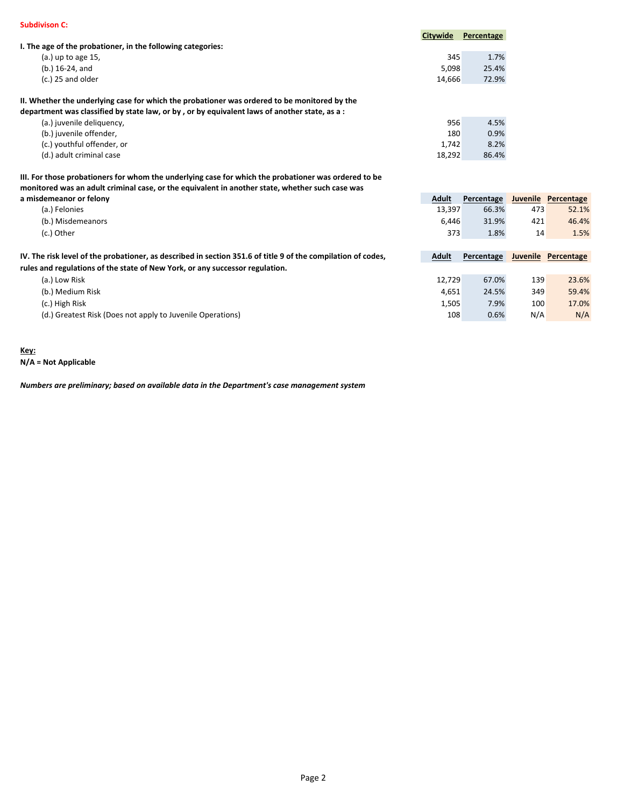|                                                                                                                            | Citywide     | Percentage |     |                     |
|----------------------------------------------------------------------------------------------------------------------------|--------------|------------|-----|---------------------|
| I. The age of the probationer, in the following categories:                                                                |              |            |     |                     |
| (a.) up to age 15,                                                                                                         | 345          | 1.7%       |     |                     |
| (b.) 16-24, and                                                                                                            | 5,098        | 25.4%      |     |                     |
| (c.) 25 and older                                                                                                          | 14,666       | 72.9%      |     |                     |
| II. Whether the underlying case for which the probationer was ordered to be monitored by the                               |              |            |     |                     |
| department was classified by state law, or by , or by equivalent laws of another state, as a :                             |              |            |     |                     |
| (a.) juvenile deliquency,                                                                                                  | 956          | 4.5%       |     |                     |
| (b.) juvenile offender,                                                                                                    | 180          | 0.9%       |     |                     |
| (c.) youthful offender, or                                                                                                 | 1,742        | 8.2%       |     |                     |
| (d.) adult criminal case                                                                                                   | 18,292       | 86.4%      |     |                     |
| III. For those probationers for whom the underlying case for which the probationer was ordered to be                       |              |            |     |                     |
| monitored was an adult criminal case, or the equivalent in another state, whether such case was<br>a misdemeanor or felony | <b>Adult</b> | Percentage |     | Juvenile Percentage |
| (a.) Felonies                                                                                                              | 13,397       | 66.3%      | 473 | 52.1%               |
| (b.) Misdemeanors                                                                                                          | 6,446        | 31.9%      | 421 | 46.4%               |
| (c.) Other                                                                                                                 | 373          | 1.8%       | 14  | 1.5%                |
| IV. The risk level of the probationer, as described in section 351.6 of title 9 of the compilation of codes,               | Adult        | Percentage |     | Juvenile Percentage |
| rules and regulations of the state of New York, or any successor regulation.                                               |              |            |     |                     |
| (a.) Low Risk                                                                                                              | 12,729       | 67.0%      | 139 | 23.6%               |
| (b.) Medium Risk                                                                                                           | 4,651        | 24.5%      | 349 | 59.4%               |
| (c.) High Risk                                                                                                             | 1,505        | 7.9%       | 100 | 17.0%               |
| (d.) Greatest Risk (Does not apply to Juvenile Operations)                                                                 | 108          | 0.6%       | N/A | N/A                 |

**Key: N/A = Not Applicable**

*Numbers are preliminary; based on available data in the Department's case management system*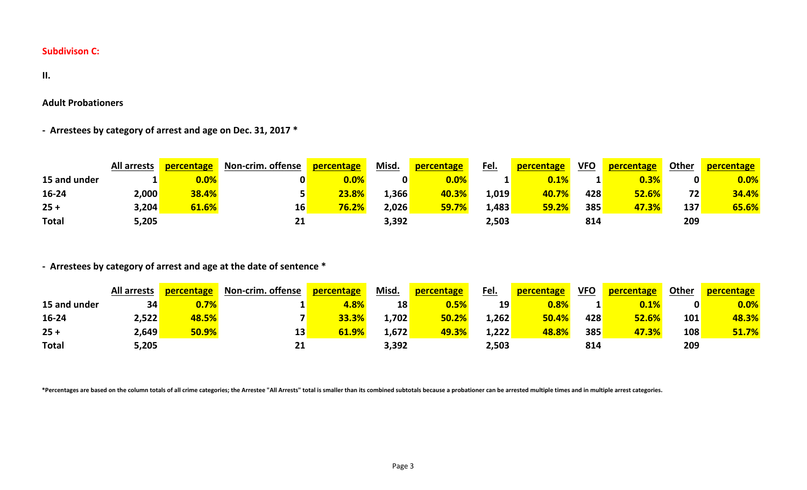**II.**

**Adult Probationers**

**- Arrestees by category of arrest and age on Dec. 31, 2017 \***

|              | <b>All arrests</b> | percentage | <b>Non-crim. offense</b> | percentage | Misd. | percentage   | <u>Fel.</u> | percentage | <b>VFO</b> | percentage | Other           | <b>percentage</b> |
|--------------|--------------------|------------|--------------------------|------------|-------|--------------|-------------|------------|------------|------------|-----------------|-------------------|
| 15 and under |                    | $0.0\%$    |                          | $0.0\%$    | 0     | $0.0\%$      |             | 0.1%       |            | $0.3\%$    |                 | 0.0%              |
| 16-24        | 2,000              | 38.4%      |                          | 23.8%      | 1,366 | 40.3%        | 1,019       | 40.7%      | 428        | 52.6%      | 72 <sub>1</sub> | 34.4%             |
| $25 +$       | 3,204              | 61.6%      | 16'                      | 76.2%      | 2,026 | <b>59.7%</b> | 1,483       | 59.2%      | 385        | 47.3%      | 137             | 65.6%             |
| <b>Total</b> | 5,205              |            |                          |            | 3,392 |              | 2,503       |            | 814        |            | 209             |                   |

**- Arrestees by category of arrest and age at the date of sentence \***

|              | All arrests | percentage | <b>Non-crim. offense</b> | percentage | Misd. | percentage | <u>Fel.</u> | percentage | <b>VFO</b> | percentage | <b>Other</b> | percentage |
|--------------|-------------|------------|--------------------------|------------|-------|------------|-------------|------------|------------|------------|--------------|------------|
| 15 and under | 34          | 0.7%       |                          | 4.8%       | 18    | 0.5%       | 19          | $0.8\%$    |            | $0.1\%$    | $\mathbf{0}$ | 0.0%       |
| 16-24        | 2,522       | 48.5%      |                          | 33.3%      | 1,702 | 50.2%      | 1,262       | 50.4%      | 428        | 52.6%      | 101          | 48.3%      |
| $25 +$       | 2,649       | 50.9%      | 13                       | 61.9%      | 1,672 | 49.3%      | 1,222       | 48.8%      | 385        | 47.3%      | 108          | 51.7%      |
| <b>Total</b> | 5,205       |            | 21                       |            | 3,392 |            | 2,503       |            | 814        |            | 209          |            |

\*Percentages are based on the column totals of all crime categories; the Arrestee "All Arrests" total is smaller than its combined subtotals because a probationer can be arrested multiple times and in multiple arrest categ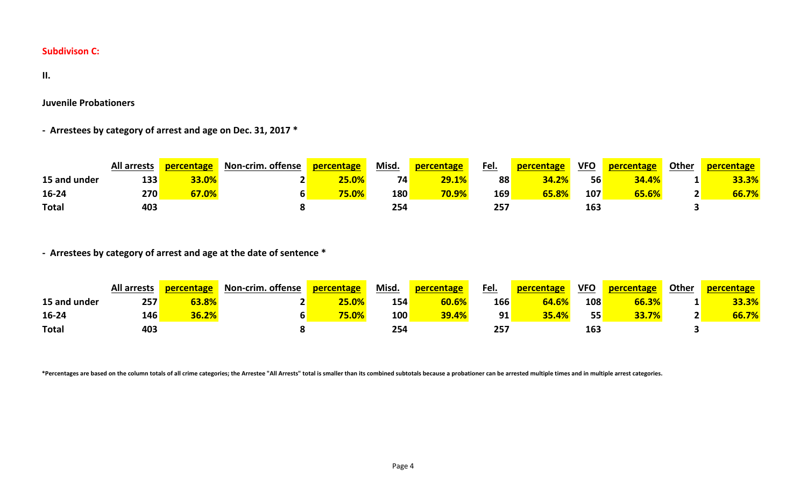**II.** 

**Juvenile Probationers**

**- Arrestees by category of arrest and age on Dec. 31, 2017 \***

|              | <b>All arrests</b> | percentage | <b>Non-crim. offense</b> | percentage | Misd.           | percentage | Fel. | percentage | <b>VFO</b> | percentage | <b>Other</b> | <b>percentage</b> |
|--------------|--------------------|------------|--------------------------|------------|-----------------|------------|------|------------|------------|------------|--------------|-------------------|
| 15 and under | 133                | 33.0%      |                          | 25.0%      | 74 <sub>1</sub> | 29.1%      | 88   | 34.2%      | 56         | 34.4%      | ÷.           | 33.3%             |
| 16-24        | 270                | 67.0%      | n                        | 75.0%      | <b>180</b>      | 70.9%      | 169  | 65.8%      | 107        | 65.6%      | <u>.</u>     | 66.7%             |
| <b>Total</b> | 403                |            |                          |            | 254             |            | 257  |            | 163        |            |              |                   |

**- Arrestees by category of arrest and age at the date of sentence \***

|              | <b>All arrests</b> | percentage | <b>Non-crim. offense</b> | <b>percentage</b> | Misd. | percentage | Fel. | <b>percentage</b> | <b>VFO</b> | percentage | Other | <b>percentage</b> |
|--------------|--------------------|------------|--------------------------|-------------------|-------|------------|------|-------------------|------------|------------|-------|-------------------|
| 15 and under | 257                | 63.8%      |                          | 25.0%             | 154   | 60.6%      | 166  | 64.6%             | 108        | 66.3%      |       | 33.3%             |
| 16-24        | 146                | 36.2%      |                          | 75.0%             | 100   | 39.4%      | 91   | 35.4%             | 55         | 33.7%      |       | 66.7%             |
| <b>Total</b> | 403                |            |                          |                   | 254   |            | 257  |                   | 163        |            |       |                   |

\*Percentages are based on the column totals of all crime categories; the Arrestee "All Arrests" total is smaller than its combined subtotals because a probationer can be arrested multiple times and in multiple arrest categ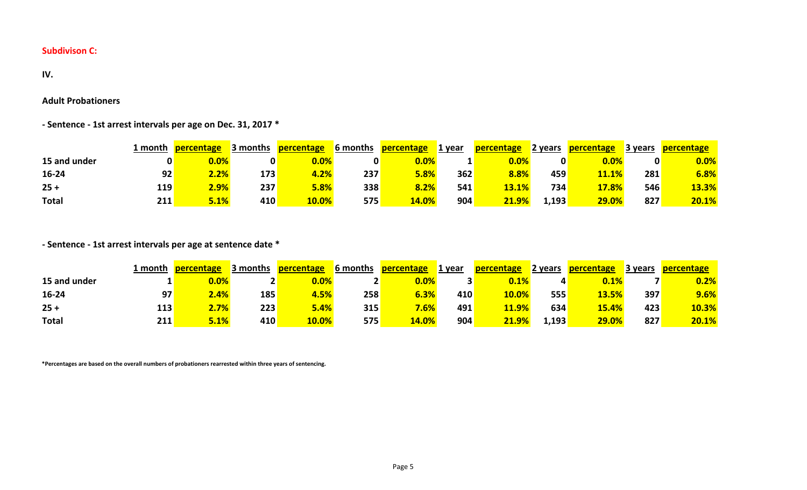#### **IV.**

### **Adult Probationers**

**- Sentence - 1st arrest intervals per age on Dec. 31, 2017 \***

|              | 1 month | percentage | 3 months | percentage | <b>6</b> months | percentage | 1 year | percentage | 2 years | <b>percentage</b> | ∕3 vears   | percentage |
|--------------|---------|------------|----------|------------|-----------------|------------|--------|------------|---------|-------------------|------------|------------|
| 15 and under |         | $0.0\%$    |          | $0.0\%$    |                 | 0.0%       |        | $0.0\%$    |         | 0.0%              | 0          | 0.0%       |
| 16-24        | 92      | $2.2\%$    | 173      | 4.2%       | 237             | 5.8%       | 362    | 8.8%       | 459     | 11.1%             | 281        | 6.8%       |
| $25 +$       | 119     | $2.9\%$    | 237      | 5.8%       | 338             | 8.2%       | 541    | 13.1%      | 734     | 17.8%             | <b>546</b> | 13.3%      |
| <b>Total</b> | 211     | $5.1\%$    | 410      | 10.0%      | 575             | 14.0%      | 904    | 21.9%      | 1,193   | 29.0%             | 827        | 20.1%      |

# **- Sentence - 1st arrest intervals per age at sentence date \***

|              | 1 month | percentage | 3 months | percentage | <b>6</b> months | percentage | 1 year | percentage   | 2 years | percentage   | 3 years | percentage |
|--------------|---------|------------|----------|------------|-----------------|------------|--------|--------------|---------|--------------|---------|------------|
| 15 and under |         | $0.0\%$    |          | $0.0\%$    |                 | $0.0\%$    |        | $0.1\%$      |         | 0.1%         |         | 0.2%       |
| $16 - 24$    | 97      | 2.4%       | 185      | 4.5%       | 258             | 6.3%       | 410    | 10.0%        | 555     | <b>13.5%</b> | 397     | 9.6%       |
| $25 +$       | 113     | 2.7%       | 223      | 5.4%       | 315             | 7.6%       | 491    | <b>11.9%</b> | 634     | 15.4%        | 423     | 10.3%      |
| <b>Total</b> | 211     | 5.1%       | 410      | 10.0%      | 575             | 14.0%      | 904    | 21.9%        | 1,193'  | 29.0%        | 827     | 20.1%      |

**\*Percentages are based on the overall numbers of probationers rearrested within three years of sentencing.**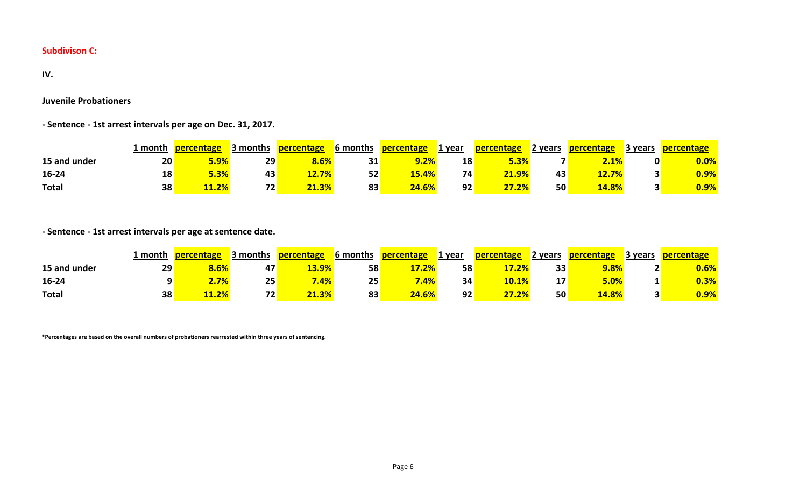#### **IV.**

### **Juvenile Probationers**

**- Sentence - 1st arrest intervals per age on Dec. 31, 2017.**

|              | 1 month | <b>percentage</b> | 3 months        | <b>percentage</b> | <b>6</b> months | percentage | 1 vear | <b>percentage</b> | 2 years | <b>percentage</b> | 3 years | <b>percentage</b> |
|--------------|---------|-------------------|-----------------|-------------------|-----------------|------------|--------|-------------------|---------|-------------------|---------|-------------------|
| 15 and under | 20      | 5.9%              | 29              | 8.6%              | 31              | $9.2\%$    | 18     | 5.3%              |         | <b>2.1%</b>       |         | $0.0\%$           |
| 16-24        | 18      | 5.3%              | 43              | $2.7\%$           | 52              | 15.4%      | 74     | 21.9%             | 43      | 12.7%             |         | 0.9%              |
| <b>Total</b> | 38      | 11.2%             | 72 <sub>1</sub> | 21.3%             | 83              | 24.6%      | 92     | 27.2%             | 50      | <b>14.8%</b>      |         | $0.9\%$           |

**- Sentence - 1st arrest intervals per age at sentence date.**

|              | 1 month         | percentage | 3 months | <b>percentage</b> | 6 months | percentage | 1 year | percentage | 2 years | <b>percentage</b> | 3 vears | <b>percentage</b> |
|--------------|-----------------|------------|----------|-------------------|----------|------------|--------|------------|---------|-------------------|---------|-------------------|
| 15 and under | 29 <sub>1</sub> | 8.6%       | 47       | 13.9%             | 58       | 17.2%      | 58     | 17.2%      | 33      | 9.8%              |         | $0.6\%$           |
| 16-24        |                 | $2.7\%$    | 25       | <mark>7.4%</mark> | 25       | .4%        | 34     | 10.1%      | 17      | $5.0\%$           |         | $0.3\%$           |
| <b>Total</b> | 38              | 11.2%      | 72       | 21.3%             | 83       | 24.6%      | 92     | 27.2%      | 50      | 14.8%             |         | $0.9\%$           |

**\*Percentages are based on the overall numbers of probationers rearrested within three years of sentencing.**